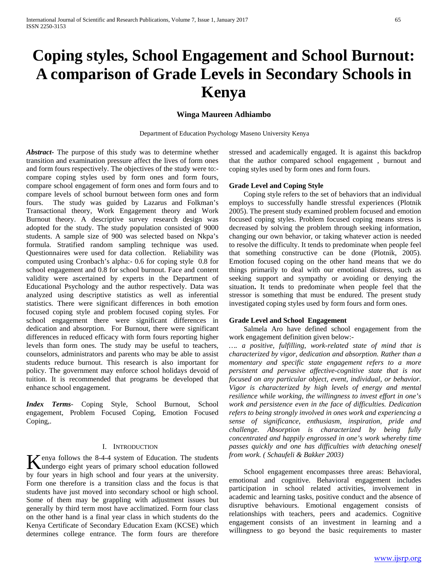# **Coping styles, School Engagement and School Burnout: A comparison of Grade Levels in Secondary Schools in Kenya**

## **Winga Maureen Adhiambo**

Department of Education Psychology Maseno University Kenya

*Abstract***-** The purpose of this study was to determine whether transition and examination pressure affect the lives of form ones and form fours respectively. The objectives of the study were to: compare coping styles used by form ones and form fours, compare school engagement of form ones and form fours and to compare levels of school burnout between form ones and form fours. The study was guided by Lazarus and Folkman's Transactional theory, Work Engagement theory and Work Burnout theory. A descriptive survey research design was adopted for the study. The study population consisted of 9000 students. A sample size of 900 was selected based on Nkpa's formula. Stratified random sampling technique was used. Questionnaires were used for data collection. Reliability was computed using Cronbach's alpha:- 0.6 for coping style 0.8 for school engagement and 0.8 for school burnout. Face and content validity were ascertained by experts in the Department of Educational Psychology and the author respectively. Data was analyzed using descriptive statistics as well as inferential statistics. There were significant differences in both emotion focused coping style and problem focused coping styles. For school engagement there were significant differences in dedication and absorption. For Burnout, there were significant differences in reduced efficacy with form fours reporting higher levels than form ones. The study may be useful to teachers, counselors, administrators and parents who may be able to assist students reduce burnout. This research is also important for policy. The government may enforce school holidays devoid of tuition. It is recommended that programs be developed that enhance school engagement.

*Index Terms*- Coping Style, School Burnout, School engagement, Problem Focused Coping, Emotion Focused Coping,.

### I. INTRODUCTION

enya follows the 8-4-4 system of Education. The students Kenya follows the 8-4-4 system of Education. The students<br>
undergo eight years of primary school education followed by four years in high school and four years at the university. Form one therefore is a transition class and the focus is that students have just moved into secondary school or high school. Some of them may be grappling with adjustment issues but generally by third term most have acclimatized. Form four class on the other hand is a final year class in which students do the Kenya Certificate of Secondary Education Exam (KCSE) which determines college entrance. The form fours are therefore

stressed and academically engaged. It is against this backdrop that the author compared school engagement , burnout and coping styles used by form ones and form fours.

#### **Grade Level and Coping Style**

 Coping style refers to the set of behaviors that an individual employs to successfully handle stressful experiences (Plotnik 2005). The present study examined problem focused and emotion focused coping styles. Problem focused coping means stress is decreased by solving the problem through seeking information, changing our own behavior, or taking whatever action is needed to resolve the difficulty. It tends to predominate when people feel that something constructive can be done (Plotnik, 2005). Emotion focused coping on the other hand means that we do things primarily to deal with our emotional distress, such as seeking support and sympathy or avoiding or denying the situation**.** It tends to predominate when people feel that the stressor is something that must be endured. The present study investigated coping styles used by form fours and form ones.

#### **Grade Level and School Engagement**

 Salmela Aro have defined school engagement from the work engagement definition given below:-

*…. a positive, fulfilling, work-related state of mind that is characterized by vigor, dedication and absorption. Rather than a momentary and specific state engagement refers to a more persistent and pervasive affective-cognitive state that is not focused on any particular object, event, individual, or behavior. Vigor is characterized by high levels of energy and mental resilience while working, the willingness to invest effort in one's work and persistence even in the face of difficulties. Dedication refers to being strongly involved in ones work and experiencing a sense of significance, enthusiasm, inspiration, pride and challenge. Absorption is characterized by being fully concentrated and happily engrossed in one's work whereby time passes quickly and one has difficulties with detaching oneself from work. ( Schaufeli & Bakker 2003)*

 School engagement encompasses three areas: Behavioral, emotional and cognitive. Behavioral engagement includes participation in school related activities, involvement in academic and learning tasks, positive conduct and the absence of disruptive behaviours. Emotional engagement consists of relationships with teachers, peers and academics. Cognitive engagement consists of an investment in learning and a willingness to go beyond the basic requirements to master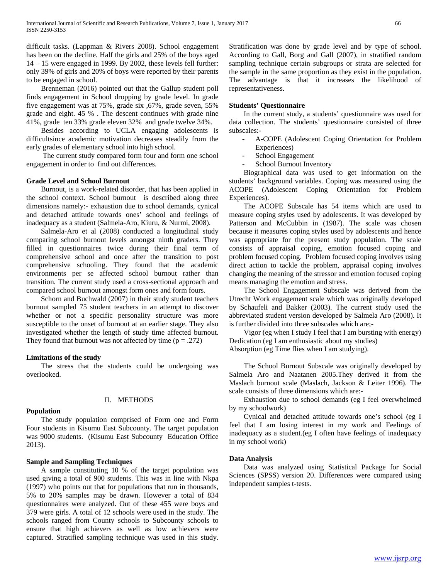difficult tasks. (Lappman & Rivers 2008). School engagement has been on the decline. Half the girls and 25% of the boys aged 14 – 15 were engaged in 1999. By 2002, these levels fell further: only 39% of girls and 20% of boys were reported by their parents to be engaged in school.

 Brenneman (2016) pointed out that the Gallup student poll finds engagement in School dropping by grade level. In grade five engagement was at 75%, grade six ,67%, grade seven, 55% grade and eight. 45 % . The descent continues with grade nine 41%, grade ten 33% grade eleven 32% and grade twelve 34%.

 Besides according to UCLA engaging adolescents is difficultsince academic motivation decreases steadily from the early grades of elementary school into high school.

 The current study compared form four and form one school engagement in order to find out differences.

#### **Grade Level and School Burnout**

 Burnout, is a work-related disorder, that has been applied in the school context. School burnout is described along three dimensions namely:- exhaustion due to school demands, cynical and detached attitude towards ones' school and feelings of inadequacy as a student (Salmela-Aro, Kiuru, & Nurmi, 2008).

 Salmela-Aro et al (2008) conducted a longitudinal study comparing school burnout levels amongst ninth graders. They filled in questionnaires twice during their final term of comprehensive school and once after the transition to post comprehensive schooling. They found that the academic environments per se affected school burnout rather than transition. The current study used a cross-sectional approach and compared school burnout amongst form ones and form fours.

 Schorn and Buchwald (2007) in their study student teachers burnout sampled 75 student teachers in an attempt to discover whether or not a specific personality structure was more susceptible to the onset of burnout at an earlier stage. They also investigated whether the length of study time affected burnout. They found that burnout was not affected by time  $(p = .272)$ 

#### **Limitations of the study**

 The stress that the students could be undergoing was overlooked.

# **Population**

#### II. METHODS

 The study population comprised of Form one and Form Four students in Kisumu East Subcounty. The target population was 9000 students. (Kisumu East Subcounty Education Office 2013).

#### **Sample and Sampling Techniques**

 A sample constituting 10 % of the target population was used giving a total of 900 students. This was in line with Nkpa (1997) who points out that for populations that run in thousands, 5% to 20% samples may be drawn. However a total of 834 questionnaires were analyzed. Out of these 455 were boys and 379 were girls. A total of 12 schools were used in the study. The schools ranged from County schools to Subcounty schools to ensure that high achievers as well as low achievers were captured. Stratified sampling technique was used in this study.

Stratification was done by grade level and by type of school. According to Gall, Borg and Gall (2007), in stratified random sampling technique certain subgroups or strata are selected for the sample in the same proportion as they exist in the population. The advantage is that it increases the likelihood of representativeness.

#### **Students' Questionnaire**

 In the current study, a students' questionnaire was used for data collection. The students' questionnaire consisted of three subscales:-

- A-COPE (Adolescent Coping Orientation for Problem Experiences)
- School Engagement
- School Burnout Inventory

 Biographical data was used to get information on the students' background variables. Coping was measured using the ACOPE (Adolescent Coping Orientation for Problem Experiences).

 The ACOPE Subscale has 54 items which are used to measure coping styles used by adolescents. It was developed by Patterson and McCubbin in (1987). The scale was chosen because it measures coping styles used by adolescents and hence was appropriate for the present study population. The scale consists of appraisal coping, emotion focused coping and problem focused coping. Problem focused coping involves using direct action to tackle the problem, appraisal coping involves changing the meaning of the stressor and emotion focused coping means managing the emotion and stress.

 The School Engagement Subscale was derived from the Utrecht Work engagement scale which was originally developed by Schaufeli and Bakker (2003). The current study used the abbreviated student version developed by Salmela Aro (2008). It is further divided into three subscales which are;-

 Vigor (eg when I study I feel that I am bursting with energy) Dedication (eg I am enthusiastic about my studies) Absorption (eg Time flies when I am studying).

 The School Burnout Subscale was originally developed by Salmela Aro and Naatanen 2005.They derived it from the Maslach burnout scale (Maslach, Jackson & Leiter 1996). The scale consists of three dimensions which are:-

 Exhaustion due to school demands (eg I feel overwhelmed by my schoolwork)

 Cynical and detached attitude towards one's school (eg I feel that I am losing interest in my work and Feelings of inadequacy as a student.(eg I often have feelings of inadequacy in my school work)

#### **Data Analysis**

 Data was analyzed using Statistical Package for Social Sciences (SPSS) version 20. Differences were compared using independent samples t-tests.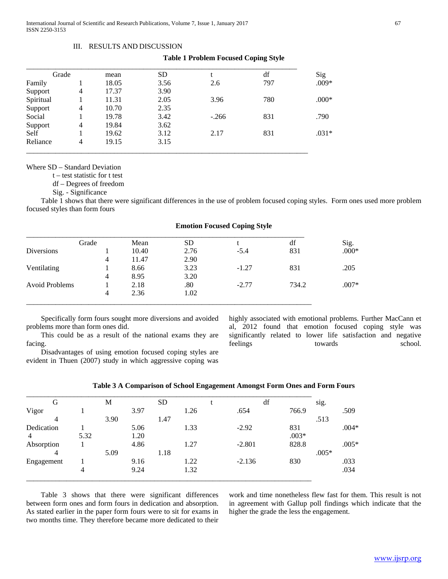#### III. RESULTS AND DISCUSSION

#### **Table 1 Problem Focused Coping Style**

| Grade     |   | mean  | <b>SD</b> |         | df  | Sig     |
|-----------|---|-------|-----------|---------|-----|---------|
| Family    |   | 18.05 | 3.56      | 2.6     | 797 | $.009*$ |
| Support   | 4 | 17.37 | 3.90      |         |     |         |
| Spiritual |   | 11.31 | 2.05      | 3.96    | 780 | $.000*$ |
| Support   | 4 | 10.70 | 2.35      |         |     |         |
| Social    |   | 19.78 | 3.42      | $-.266$ | 831 | .790    |
| Support   | 4 | 19.84 | 3.62      |         |     |         |
| Self      |   | 19.62 | 3.12      | 2.17    | 831 | $.031*$ |
| Reliance  | 4 | 19.15 | 3.15      |         |     |         |

Where SD – Standard Deviation

t – test statistic for t test

df – Degrees of freedom

Sig. - Significance

 Table 1 shows that there were significant differences in the use of problem focused coping styles. Form ones used more problem focused styles than form fours

| Grade                 |   | Mean  | <b>SD</b> |         | df    | Sig.    |
|-----------------------|---|-------|-----------|---------|-------|---------|
| <b>Diversions</b>     |   | 10.40 | 2.76      | $-5.4$  | 831   | $.000*$ |
|                       | 4 | 11.47 | 2.90      |         |       |         |
| Ventilating           |   | 8.66  | 3.23      | $-1.27$ | 831   | .205    |
|                       | 4 | 8.95  | 3.20      |         |       |         |
| <b>Avoid Problems</b> |   | 2.18  | .80       | $-2.77$ | 734.2 | $.007*$ |
|                       | 4 | 2.36  | 1.02      |         |       |         |

#### **Emotion Focused Coping Style**

 Specifically form fours sought more diversions and avoided problems more than form ones did.

 This could be as a result of the national exams they are facing.

 Disadvantages of using emotion focused coping styles are evident in Thuen (2007) study in which aggressive coping was

highly associated with emotional problems. Further MacCann et al, 2012 found that emotion focused coping style was significantly related to lower life satisfaction and negative feelings towards towards school.

| G              |      | М    |      | <b>SD</b> |      | df       |         | sig.    |         |
|----------------|------|------|------|-----------|------|----------|---------|---------|---------|
| Vigor          |      |      | 3.97 |           | 1.26 | .654     | 766.9   |         | .509    |
| 4              |      | 3.90 |      | 1.47      |      |          |         | .513    |         |
| Dedication     |      |      | 5.06 |           | 1.33 | $-2.92$  | 831     |         | $.004*$ |
| $\overline{4}$ | 5.32 |      | 1.20 |           |      |          | $.003*$ |         |         |
| Absorption     |      |      | 4.86 |           | 1.27 | $-2.801$ | 828.8   |         | $.005*$ |
| 4              |      | 5.09 |      | 1.18      |      |          |         | $.005*$ |         |
| Engagement     |      |      | 9.16 |           | 1.22 | $-2.136$ | 830     |         | .033    |
|                | 4    |      | 9.24 |           | 1.32 |          |         |         | .034    |

# **Table 3 A Comparison of School Engagement Amongst Form Ones and Form Fours**

 Table 3 shows that there were significant differences between form ones and form fours in dedication and absorption. As stated earlier in the paper form fours were to sit for exams in two months time. They therefore became more dedicated to their

work and time nonetheless flew fast for them. This result is not in agreement with Gallup poll findings which indicate that the higher the grade the less the engagement.